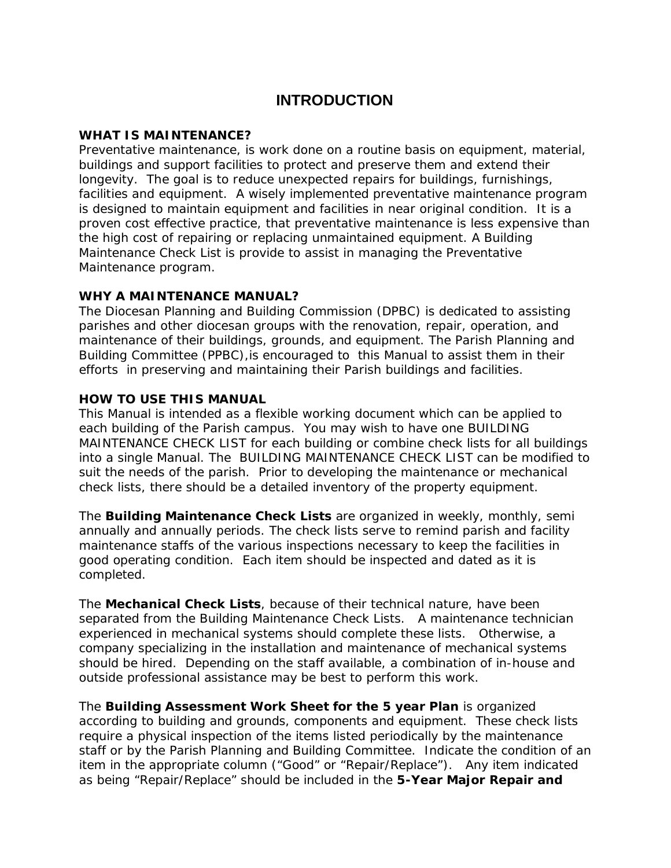## **INTRODUCTION**

## **WHAT IS MAINTENANCE?**

Preventative maintenance, is work done on a routine basis on equipment, material, buildings and support facilities to protect and preserve them and extend their longevity. The goal is to reduce unexpected repairs for buildings, furnishings, facilities and equipment. A wisely implemented preventative maintenance program is designed to maintain equipment and facilities in near original condition. It is a proven cost effective practice, that preventative maintenance is less expensive than the high cost of repairing or replacing unmaintained equipment. A Building Maintenance Check List is provide to assist in managing the Preventative Maintenance program.

## **WHY A MAINTENANCE MANUAL?**

The Diocesan Planning and Building Commission (DPBC) is dedicated to assisting parishes and other diocesan groups with the renovation, repair, operation, and maintenance of their buildings, grounds, and equipment. The Parish Planning and Building Committee (PPBC),is encouraged to this Manual to assist them in their efforts in preserving and maintaining their Parish buildings and facilities.

## **HOW TO USE THIS MANUAL**

This Manual is intended as a flexible working document which can be applied to each building of the Parish campus. You may wish to have one BUILDING MAINTENANCE CHECK LIST for each building or combine check lists for all buildings into a single Manual. The BUILDING MAINTENANCE CHECK LIST can be modified to suit the needs of the parish. Prior to developing the maintenance or mechanical check lists, there should be a detailed inventory of the property equipment.

The **Building Maintenance Check Lists** are organized in weekly, monthly, semi annually and annually periods. The check lists serve to remind parish and facility maintenance staffs of the various inspections necessary to keep the facilities in good operating condition. Each item should be inspected and dated as it is completed.

The **Mechanical Check Lists**, because of their technical nature, have been separated from the Building Maintenance Check Lists. A maintenance technician experienced in mechanical systems should complete these lists. Otherwise, a company specializing in the installation and maintenance of mechanical systems should be hired. Depending on the staff available, a combination of in-house and outside professional assistance may be best to perform this work.

The **Building Assessment Work Sheet for the 5 year Plan** is organized according to building and grounds, components and equipment. These check lists require a physical inspection of the items listed periodically by the maintenance staff or by the Parish Planning and Building Committee. Indicate the condition of an item in the appropriate column ("Good" or "Repair/Replace"). Any item indicated as being "Repair/Replace" should be included in the **5-Year Major Repair and**